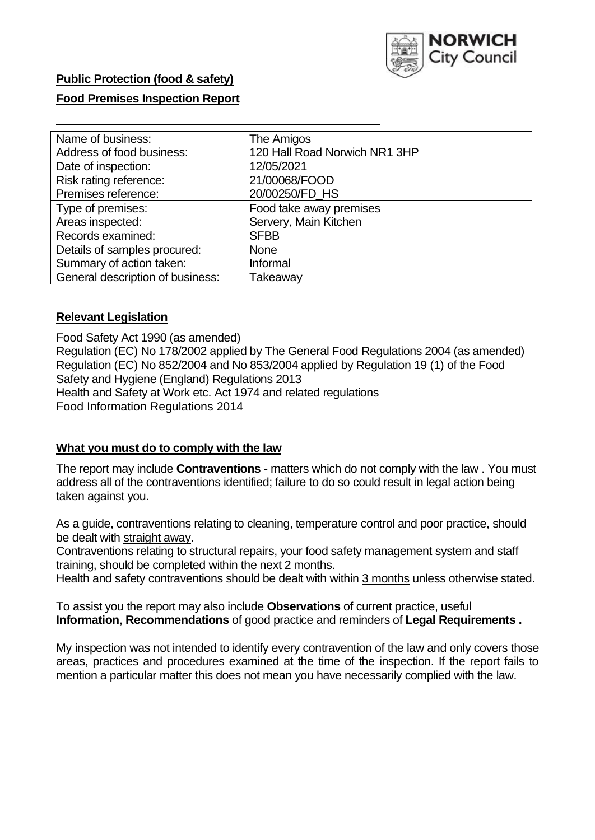

## **Public Protection (food & safety)**

### **Food Premises Inspection Report**

| Name of business:                | The Amigos                    |  |  |  |  |
|----------------------------------|-------------------------------|--|--|--|--|
| Address of food business:        | 120 Hall Road Norwich NR1 3HP |  |  |  |  |
| Date of inspection:              | 12/05/2021                    |  |  |  |  |
| Risk rating reference:           | 21/00068/FOOD                 |  |  |  |  |
| Premises reference:              | 20/00250/FD HS                |  |  |  |  |
| Type of premises:                | Food take away premises       |  |  |  |  |
| Areas inspected:                 | Servery, Main Kitchen         |  |  |  |  |
| Records examined:                | <b>SFBB</b>                   |  |  |  |  |
| Details of samples procured:     | <b>None</b>                   |  |  |  |  |
| Summary of action taken:         | Informal                      |  |  |  |  |
| General description of business: | Takeaway                      |  |  |  |  |

#### **Relevant Legislation**

 Food Safety Act 1990 (as amended) Regulation (EC) No 178/2002 applied by The General Food Regulations 2004 (as amended) Regulation (EC) No 852/2004 and No 853/2004 applied by Regulation 19 (1) of the Food Safety and Hygiene (England) Regulations 2013 Health and Safety at Work etc. Act 1974 and related regulations Food Information Regulations 2014

#### **What you must do to comply with the law**

 The report may include **Contraventions** - matters which do not comply with the law . You must address all of the contraventions identified; failure to do so could result in legal action being taken against you.

 As a guide, contraventions relating to cleaning, temperature control and poor practice, should be dealt with straight away.

 Contraventions relating to structural repairs, your food safety management system and staff training, should be completed within the next 2 months.

Health and safety contraventions should be dealt with within 3 months unless otherwise stated.

 To assist you the report may also include **Observations** of current practice, useful **Information**, **Recommendations** of good practice and reminders of **Legal Requirements .** 

 My inspection was not intended to identify every contravention of the law and only covers those areas, practices and procedures examined at the time of the inspection. If the report fails to mention a particular matter this does not mean you have necessarily complied with the law.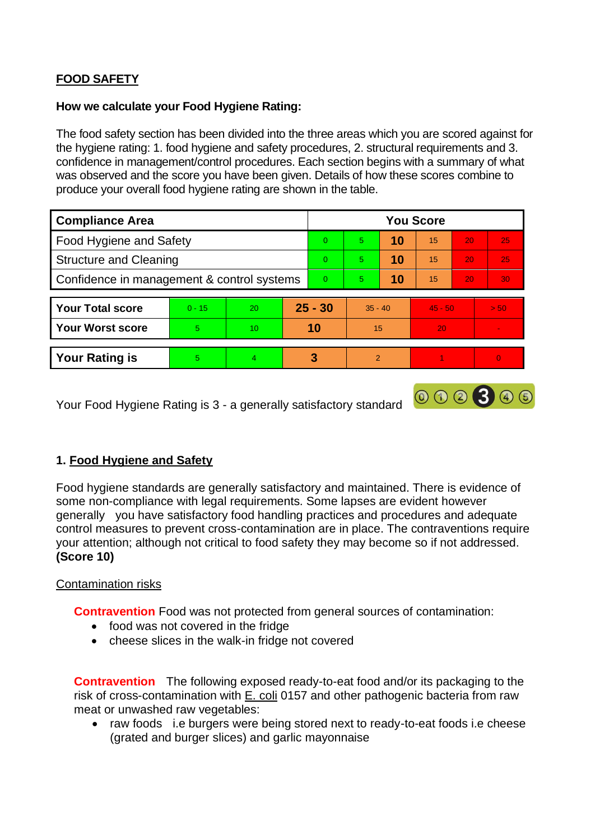# **FOOD SAFETY**

#### **How we calculate your Food Hygiene Rating:**

 The food safety section has been divided into the three areas which you are scored against for the hygiene rating: 1. food hygiene and safety procedures, 2. structural requirements and 3. confidence in management/control procedures. Each section begins with a summary of what was observed and the score you have been given. Details of how these scores combine to produce your overall food hygiene rating are shown in the table.

| <b>Compliance Area</b>                     |          |                  |          | <b>You Score</b> |               |    |           |                 |          |  |  |
|--------------------------------------------|----------|------------------|----------|------------------|---------------|----|-----------|-----------------|----------|--|--|
| Food Hygiene and Safety                    |          |                  |          | $\Omega$         | 5             | 10 | 15        | 20              | 25       |  |  |
| <b>Structure and Cleaning</b>              |          |                  | $\Omega$ | 5                | 10            | 15 | 20        | 25              |          |  |  |
| Confidence in management & control systems |          |                  | $\Omega$ | 5                | 10            | 15 | 20        | 30 <sup>°</sup> |          |  |  |
|                                            |          |                  |          |                  |               |    |           |                 |          |  |  |
| <b>Your Total score</b>                    | $0 - 15$ | 20               |          | $25 - 30$        | $35 - 40$     |    | $45 - 50$ |                 | > 50     |  |  |
| <b>Your Worst score</b>                    | 5        | 10 <sup>10</sup> |          | 10               | 15            |    | 20        |                 |          |  |  |
|                                            |          |                  |          |                  |               |    |           |                 |          |  |  |
| <b>Your Rating is</b>                      | 5        | $\overline{4}$   |          | 3                | $\mathcal{P}$ |    |           |                 | $\Omega$ |  |  |

Your Food Hygiene Rating is 3 - a generally satisfactory standard

## **1. Food Hygiene and Safety**

Food hygiene standards are generally satisfactory and maintained. There is evidence of some non-compliance with legal requirements. Some lapses are evident however generally you have satisfactory food handling practices and procedures and adequate control measures to prevent cross-contamination are in place. The contraventions require your attention; although not critical to food safety they may become so if not addressed. **(Score 10)** 

000300

## Contamination risks

**Contravention** Food was not protected from general sources of contamination:

- food was not covered in the fridge
- cheese slices in the walk-in fridge not covered

**Contravention** The following exposed ready-to-eat food and/or its packaging to the risk of cross-contamination with E. coli 0157 and other pathogenic bacteria from raw meat or unwashed raw vegetables:

 • raw foods i.e burgers were being stored next to ready-to-eat foods i.e cheese (grated and burger slices) and garlic mayonnaise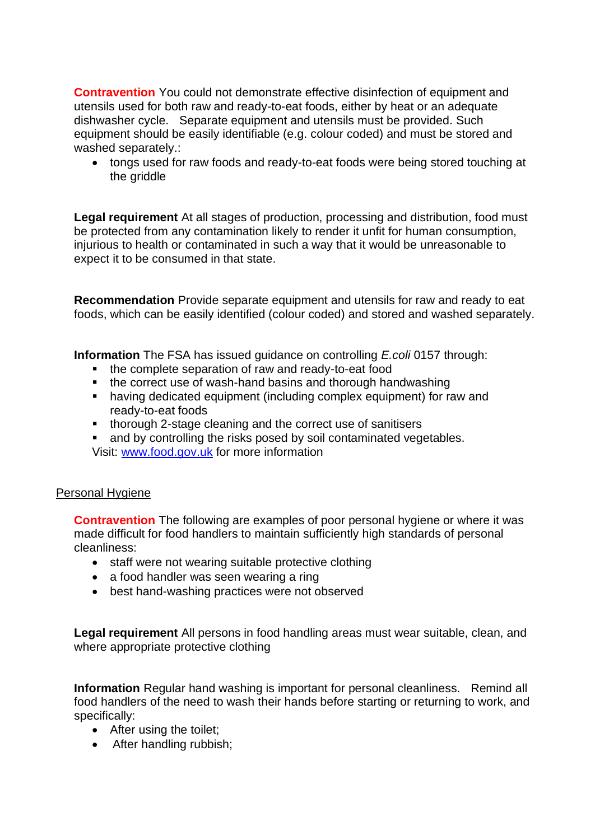equipment should be easily identifiable (e.g. colour coded) and must be stored and **Contravention** You could not demonstrate effective disinfection of equipment and utensils used for both raw and ready-to-eat foods, either by heat or an adequate dishwasher cycle. Separate equipment and utensils must be provided. Such washed separately.:

• tongs used for raw foods and ready-to-eat foods were being stored touching at the griddle

**Legal requirement** At all stages of production, processing and distribution, food must be protected from any contamination likely to render it unfit for human consumption, injurious to health or contaminated in such a way that it would be unreasonable to expect it to be consumed in that state.

**Recommendation** Provide separate equipment and utensils for raw and ready to eat foods, which can be easily identified (colour coded) and stored and washed separately.

**Information** The FSA has issued guidance on controlling *E.coli* 0157 through:

- the complete separation of raw and ready-to-eat food
- the correct use of wash-hand basins and thorough handwashing
- having dedicated equipment (including complex equipment) for raw and ready-to-eat foods
- thorough 2-stage cleaning and the correct use of sanitisers
- and by controlling the risks posed by soil contaminated vegetables.

Visit: [www.food.gov.uk](http://www.food.gov.uk/) for more information

#### Personal Hygiene

**Contravention** The following are examples of poor personal hygiene or where it was made difficult for food handlers to maintain sufficiently high standards of personal cleanliness:

- staff were not wearing suitable protective clothing
- a food handler was seen wearing a ring
- best hand-washing practices were not observed

**Legal requirement** All persons in food handling areas must wear suitable, clean, and where appropriate protective clothing

 **Information** Regular hand washing is important for personal cleanliness. Remind all food handlers of the need to wash their hands before starting or returning to work, and specifically:

- After using the toilet:
- After handling rubbish;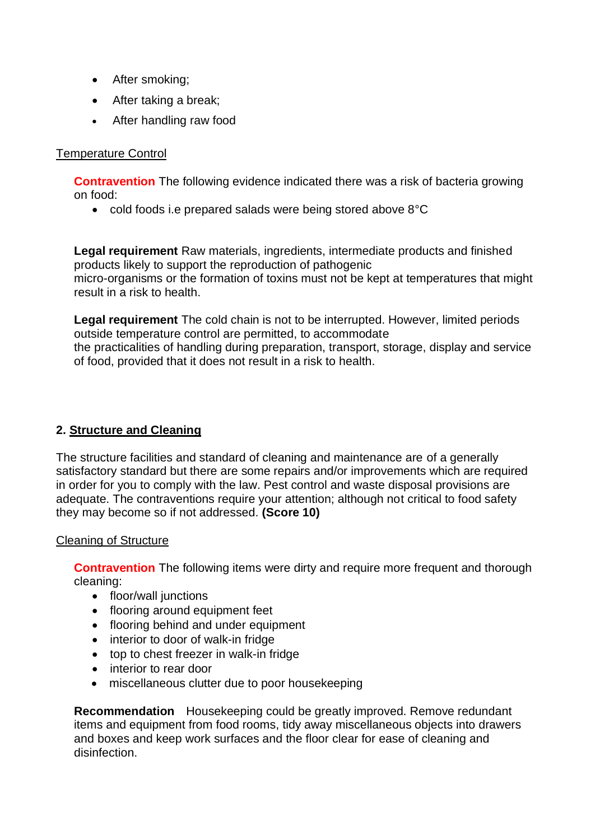- After smoking;
- After taking a break;
- After handling raw food

## Temperature Control

**Contravention** The following evidence indicated there was a risk of bacteria growing on food:

• cold foods i.e prepared salads were being stored above 8°C

**Legal requirement** Raw materials, ingredients, intermediate products and finished products likely to support the reproduction of pathogenic micro-organisms or the formation of toxins must not be kept at temperatures that might result in a risk to health.

**Legal requirement** The cold chain is not to be interrupted. However, limited periods outside temperature control are permitted, to accommodate the practicalities of handling during preparation, transport, storage, display and service of food, provided that it does not result in a risk to health.

## **2. Structure and Cleaning**

 satisfactory standard but there are some repairs and/or improvements which are required The structure facilities and standard of cleaning and maintenance are of a generally in order for you to comply with the law. Pest control and waste disposal provisions are adequate. The contraventions require your attention; although not critical to food safety they may become so if not addressed. **(Score 10)** 

## Cleaning of Structure

**Contravention** The following items were dirty and require more frequent and thorough cleaning:

- floor/wall junctions
- flooring around equipment feet
- flooring behind and under equipment
- interior to door of walk-in fridge
- top to chest freezer in walk-in fridge
- interior to rear door
- miscellaneous clutter due to poor housekeeping

**Recommendation** Housekeeping could be greatly improved. Remove redundant items and equipment from food rooms, tidy away miscellaneous objects into drawers and boxes and keep work surfaces and the floor clear for ease of cleaning and disinfection.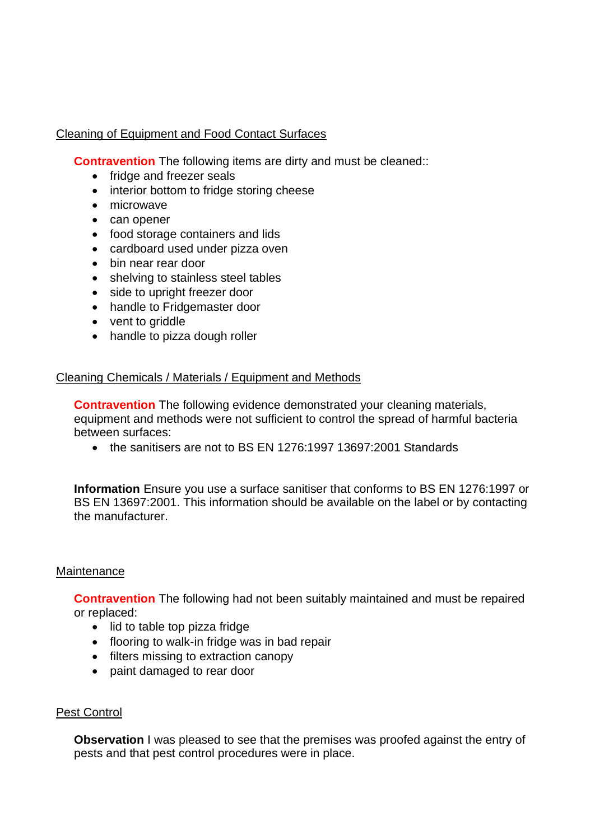## Cleaning of Equipment and Food Contact Surfaces

**Contravention** The following items are dirty and must be cleaned::

- fridge and freezer seals
- interior bottom to fridge storing cheese
- microwave
- can opener
- food storage containers and lids
- cardboard used under pizza oven
- bin near rear door
- shelving to stainless steel tables
- side to upright freezer door
- handle to Fridgemaster door
- vent to griddle
- handle to pizza dough roller

#### Cleaning Chemicals / Materials / Equipment and Methods

**Contravention** The following evidence demonstrated your cleaning materials, equipment and methods were not sufficient to control the spread of harmful bacteria between surfaces:

• the sanitisers are not to BS EN 1276:1997 13697:2001 Standards

**Information** Ensure you use a surface sanitiser that conforms to BS EN 1276:1997 or BS EN 13697:2001. This information should be available on the label or by contacting the manufacturer.

#### **Maintenance**

**Contravention** The following had not been suitably maintained and must be repaired or replaced:

- lid to table top pizza fridge
- flooring to walk-in fridge was in bad repair
- filters missing to extraction canopy
- paint damaged to rear door

#### Pest Control

**Observation** I was pleased to see that the premises was proofed against the entry of pests and that pest control procedures were in place.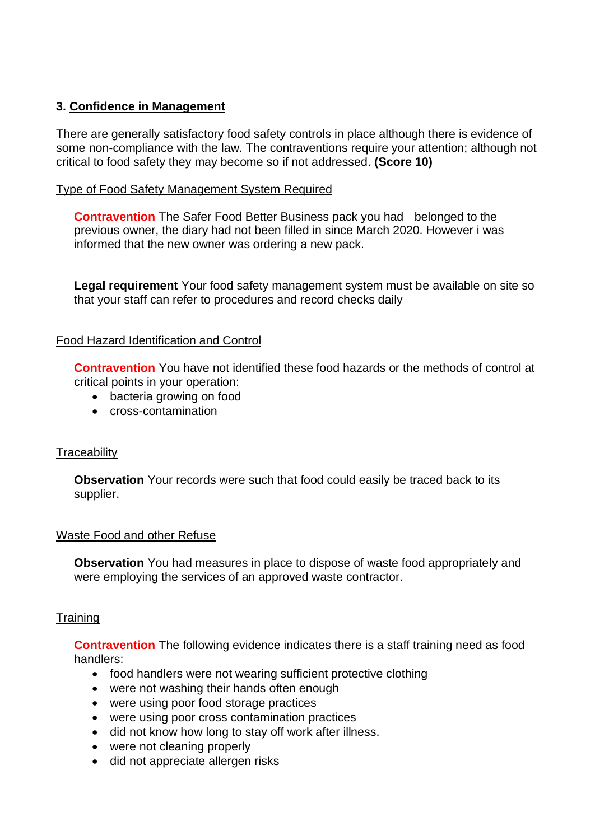## **3. Confidence in Management**

There are generally satisfactory food safety controls in place although there is evidence of some non-compliance with the law. The contraventions require your attention; although not critical to food safety they may become so if not addressed. **(Score 10)** 

### Type of Food Safety Management System Required

**Contravention** The Safer Food Better Business pack you had belonged to the previous owner, the diary had not been filled in since March 2020. However i was informed that the new owner was ordering a new pack.

**Legal requirement** Your food safety management system must be available on site so that your staff can refer to procedures and record checks daily

#### Food Hazard Identification and Control

**Contravention** You have not identified these food hazards or the methods of control at critical points in your operation:

- bacteria growing on food
- cross-contamination

#### **Traceability**

**Observation** Your records were such that food could easily be traced back to its supplier.

#### Waste Food and other Refuse

**Observation** You had measures in place to dispose of waste food appropriately and were employing the services of an approved waste contractor.

#### **Training**

 **Contravention** The following evidence indicates there is a staff training need as food handlers:

- food handlers were not wearing sufficient protective clothing
- were not washing their hands often enough
- were using poor food storage practices
- were using poor cross contamination practices
- did not know how long to stay off work after illness.
- were not cleaning properly
- did not appreciate allergen risks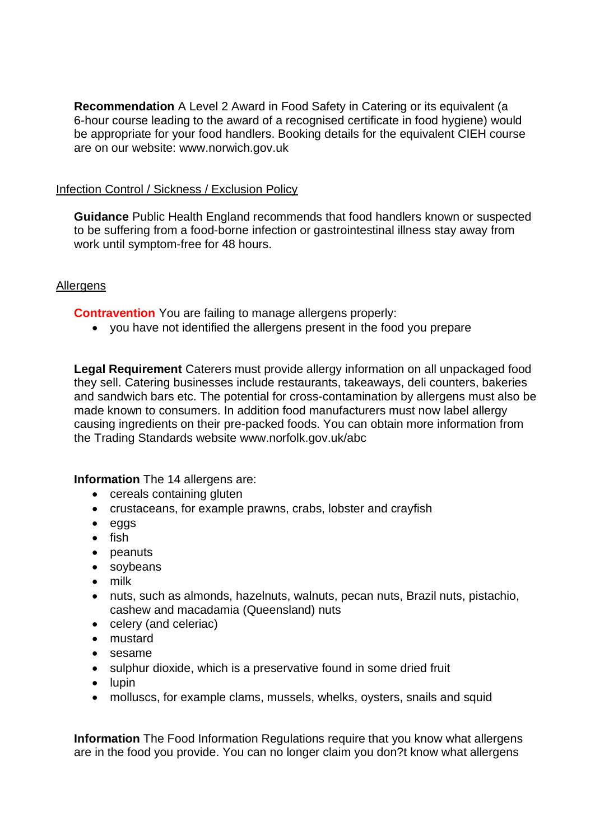**Recommendation** A Level 2 Award in Food Safety in Catering or its equivalent (a 6-hour course leading to the award of a recognised certificate in food hygiene) would be appropriate for your food handlers. Booking details for the equivalent CIEH course are on our website: <www.norwich.gov.uk>

#### Infection Control / Sickness / Exclusion Policy

**Guidance** Public Health England recommends that food handlers known or suspected to be suffering from a food-borne infection or gastrointestinal illness stay away from work until symptom-free for 48 hours.

## **Allergens**

**Contravention** You are failing to manage allergens properly:

• you have not identified the allergens present in the food you prepare

**Legal Requirement** Caterers must provide allergy information on all unpackaged food they sell. Catering businesses include restaurants, takeaways, deli counters, bakeries and sandwich bars etc. The potential for cross-contamination by allergens must also be made known to consumers. In addition food manufacturers must now label allergy causing ingredients on their pre-packed foods. You can obtain more information from the Trading Standards website<www.norfolk.gov.uk/abc>

#### **Information** The 14 allergens are:

- cereals containing gluten
- crustaceans, for example prawns, crabs, lobster and crayfish
- eggs
- fish
- peanuts
- soybeans
- milk
- nuts, such as almonds, hazelnuts, walnuts, pecan nuts, Brazil nuts, pistachio, cashew and macadamia (Queensland) nuts
- celery (and celeriac)
- mustard
- sesame
- sulphur dioxide, which is a preservative found in some dried fruit
- lupin
- molluscs, for example clams, mussels, whelks, oysters, snails and squid

**Information** The Food Information Regulations require that you know what allergens are in the food you provide. You can no longer claim you don?t know what allergens